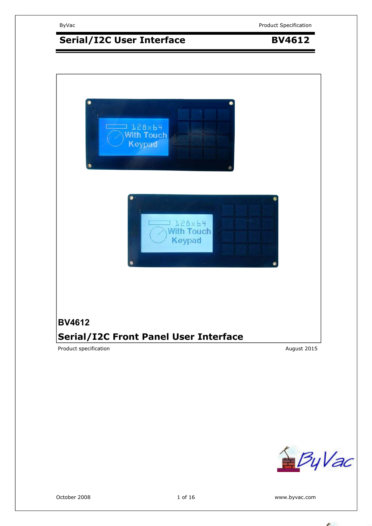# **Serial/I2C User Interface BV4612**





October 2008 **1 of 16** and 1 of 16 www.byvac.com

1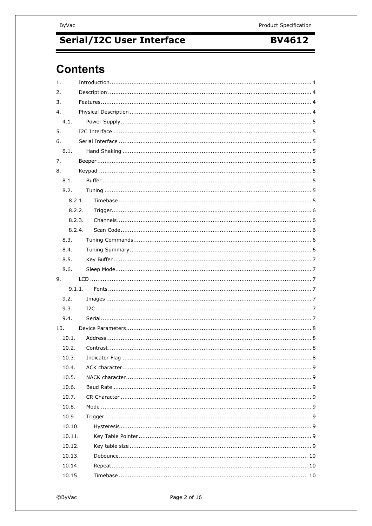**BV4612** 

# **Contents**

| 1.     |  |
|--------|--|
| 2.     |  |
| 3.     |  |
| 4.     |  |
| 4.1.   |  |
| 5.     |  |
| 6.     |  |
| 6.1.   |  |
| 7.     |  |
| 8.     |  |
| 8.1.   |  |
| 8.2.   |  |
| 8.2.1. |  |
| 8.2.2. |  |
| 8.2.3. |  |
| 8.2.4. |  |
| 8.3.   |  |
| 8.4.   |  |
| 8.5.   |  |
| 8.6.   |  |
| 9.     |  |
| 9.1.1. |  |
| 9.2.   |  |
| 9.3.   |  |
| 9.4.   |  |
| 10.    |  |
| 10.1.  |  |
| 10.2.  |  |
| 10.3.  |  |
| 10.4.  |  |
| 10.5.  |  |
| 10.6.  |  |
| 10.7.  |  |
| 10.8.  |  |
| 10.9.  |  |
| 10.10. |  |
| 10.11. |  |
| 10.12. |  |
| 10.13. |  |
| 10.14. |  |
| 10.15. |  |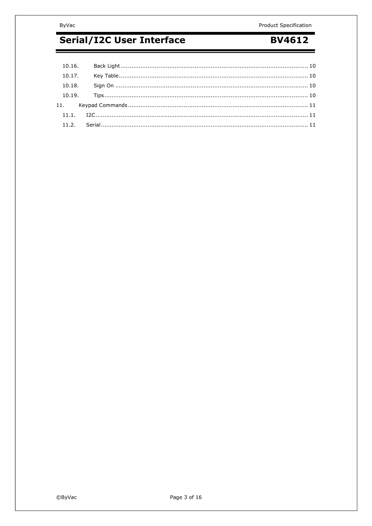#### ByVac

# Serial/I2C User Interface

## **BV4612**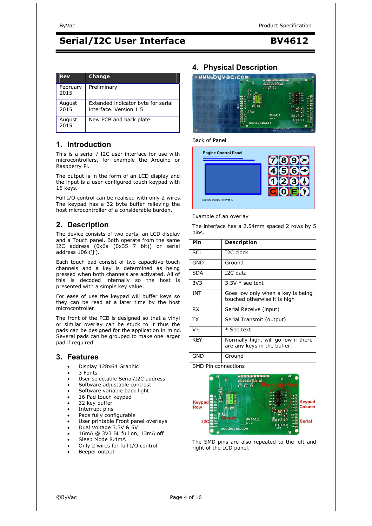#### **Rev Change February** 2015 Preliminary August 2015 Extended indicator byte for serial interface. Version 1.5 August 2015 New PCB and back plate

### **1. Introduction**

This is a serial / I2C user interface for use with microcontrollers, for example the Arduino or Raspberry Pi.

The output is in the form of an LCD display and the input is a user-configured touch keypad with 16 keys.

Full I/O control can be realised with only 2 wires. The keypad has a 32 byte buffer relieving the host microcontroller of a considerable burden.

### **2. Description**

The device consists of two parts, an LCD display and a Touch panel. Both operate from the same I2C address (0x6a (0x35 7 bit)) or serial address 106 ('j').

Each touch pad consist of two capacitive touch channels and a key is determined as being pressed when both channels are activated. All of this is decoded internally so the host is presented with a simple key value.

For ease of use the keypad will buffer keys so they can be read at a later time by the host microcontroller.

The front of the PCB is designed so that a vinyl or similar overlay can be stuck to it thus the pads can be designed for the application in mind. Several pads can be grouped to make one larger pad if required.

#### **3. Features**

- Display 128x64 Graphic
- 3 Fonts
- User selectable Serial/I2C address
- Software adjustable contrast
- Software variable back light
- 16 Pad touch keypad
- 32 key buffer
- Interrupt pins
- Pads fully configurable
- User printable Front panel overlays
- Dual Voltage 3.3V & 5V
- 16mA @ 3V3 BL full on, 13mA off
- Sleep Mode 8.4mA
- Only 2 wires for full I/O control
- Beeper output

### **4. Physical Description**



Back of Panel



Example of an overlay

The interface has a 2.54mm spaced 2 rows by 5 pins.

| Pin             | <b>Description</b>                                                 |
|-----------------|--------------------------------------------------------------------|
| <b>SCL</b>      | I <sub>2</sub> C clock                                             |
| GND             | Ground                                                             |
| SDA             | I2C data                                                           |
| 3V <sub>3</sub> | $3.3V *$ see text                                                  |
| <b>INT</b>      | Goes low only when a key is being<br>touched otherwise it is high  |
| RX              | Serial Receive (input)                                             |
| <b>TX</b>       | Serial Transmit (output)                                           |
| V+              | * See text                                                         |
| <b>KEY</b>      | Normally high, will go low if there<br>are any keys in the buffer. |
| <b>GND</b>      | Ground                                                             |

SMD Pin connections



The SMD pins are also repeated to the left and right of the LCD panel.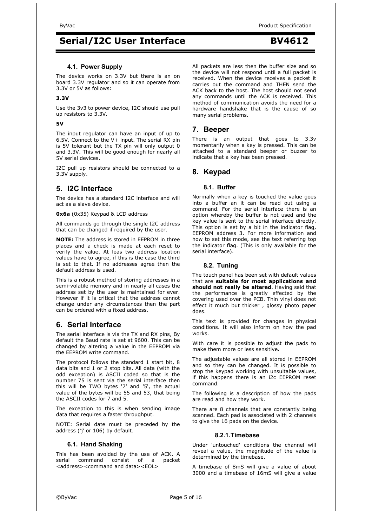#### **4.1. Power Supply**

The device works on 3.3V but there is an on board 3.3V regulator and so it can operate from 3.3V or 5V as follows:

#### **3.3V**

Use the 3v3 to power device, I2C should use pull up resistors to 3.3V.

#### **5V**

The input regulator can have an input of up to 6.5V. Connect to the V+ input. The serial RX pin is 5V tolerant but the TX pin will only output 0 and 3.3V. This will be good enough for nearly all 5V serial devices.

I2C pull up resistors should be connected to a 3.3V supply.

### **5. I2C Interface**

The device has a standard I2C interface and will act as a slave device.

**0x6a** (0x35) Keypad & LCD address

All commands go through the single I2C address that can be changed if required by the user.

**NOTE:** The address is stored in EEPROM in three places and a check is made at each reset to verify the value. At leas two address location values have to agree, if this is the case the third is set to that. If no addresses agree then the default address is used.

This is a robust method of storing addresses in a semi-volatile memory and in nearly all cases the address set by the user is maintained for ever. However if it is critical that the address cannot change under any circumstances then the part can be ordered with a fixed address.

### **6. Serial Interface**

The serial interface is via the TX and RX pins, By default the Baud rate is set at 9600. This can be changed by altering a value in the EEPROM via the EEPROM write command.

The protocol follows the standard 1 start bit, 8 data bits and 1 or 2 stop bits. All data (with the odd exception) is ASCII coded so that is the number 75 is sent via the serial interface then this will be TWO bytes '7' and '5', the actual value of the bytes will be 55 and 53, that being the ASCII codes for 7 and 5.

The exception to this is when sending image data that requires a faster throughput.

NOTE: Serial date must be preceded by the address ('j' or 106) by default.

#### **6.1. Hand Shaking**

This has been avoided by the use of ACK. A serial command consist of a packet <address><command and data><EOL>

All packets are less then the buffer size and so the device will not respond until a full packet is received. When the device receives a packet it carries out the command and THEN send the ACK back to the host. The host should not send any commands until the ACK is received. This method of communication avoids the need for a hardware handshake that is the cause of so many serial problems.

#### **7. Beeper**

There is an output that goes to 3.3v momentarily when a key is pressed. This can be attached to a standard beeper or buzzer to indicate that a key has been pressed.

#### **8. Keypad**

#### **8.1. Buffer**

Normally when a key is touched the value goes into a buffer an it can be read out using a command. For the serial interface there is an option whereby the buffer is not used and the key value is sent to the serial interface directly. This option is set by a bit in the indicator flag, EEPROM address 3. For more information and how to set this mode, see the text referring top the indicator flag. (This is only available for the serial interface).

#### **8.2. Tuning**

The touch panel has been set with default values that are **suitable for most applications and should not really be altered**. Having said that the performance is greatly effected by the covering used over the PCB. Thin vinyl does not effect it much but thicker , glossy photo paper does.

This text is provided for changes in physical conditions. It will also inform on how the pad works.

With care it is possible to adjust the pads to make them more or less sensitive.

The adjustable values are all stored in EEPROM and so they can be changed. It is possible to stop the keypad working with unsuitable values, if this happens there is an i2c EEPROM reset command.

The following is a description of how the pads are read and how they work.

There are 8 channels that are constantly being scanned. Each pad is associated with 2 channels to give the 16 pads on the device.

#### **8.2.1. Timebase**

Under 'untouched' conditions the channel will reveal a value, the magnitude of the value is determined by the timebase.

A timebase of 8mS will give a value of about 3000 and a timebase of 16mS will give a value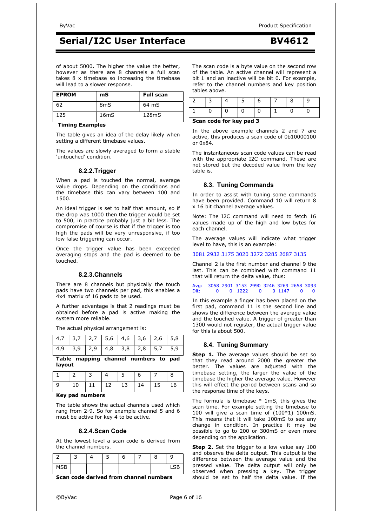of about 5000. The higher the value the better, however as there are 8 channels a full scan takes 8 x timebase so increasing the timebase will lead to a slower response.

| <b>EPROM</b> | mS                | <b>Full scan</b> |
|--------------|-------------------|------------------|
| 67           | 8 <sub>m</sub> S  | 64 mS            |
| 125          | 16 <sub>m</sub> S | 128mS            |

#### **Timing Examples**

The table gives an idea of the delay likely when setting a different timebase values.

The values are slowly averaged to form a stable 'untouched' condition.

#### **8.2.2. Trigger**

When a pad is touched the normal, average value drops. Depending on the conditions and the timebase this can vary between 100 and 1500.

An ideal trigger is set to half that amount, so if the drop was 1000 then the trigger would be set to 500, in practice probably just a bit less. The compromise of course is that if the trigger is too high the pads will be very unresponsive, if too low false triggering can occur.

Once the trigger value has been exceeded averaging stops and the pad is deemed to be touched.

#### **8.2.3. Channels**

There are 8 channels but physically the touch pads have two channels per pad, this enables a 4x4 matrix of 16 pads to be used.

A further advantage is that 2 readings must be obtained before a pad is active making the system more reliable.

The actual physical arrangement is:

| Table mapping channel numbers to pad<br>layout |  |  |  |                                                 |  |                                   |  |
|------------------------------------------------|--|--|--|-------------------------------------------------|--|-----------------------------------|--|
|                                                |  |  |  |                                                 |  | $4,9$ 3,9 2,9 4,8 3,8 2,8 5,7 5,9 |  |
|                                                |  |  |  | $4,7$   3,7   2,7   5,6   4,6   3,6   2,6   5,8 |  |                                   |  |

|    |  |                                  | 6 |  |
|----|--|----------------------------------|---|--|
| -9 |  | 10   11   12   13   14   15   16 |   |  |

#### **Key pad numbers**

The table shows the actual channels used which rang from 2-9. So for example channel 5 and 6 must be active for key 4 to be active.

#### **8.2.4. Scan Code**

At the lowest level a scan code is derived from the channel numbers.

|          |  | ب | с |  |  |
|----------|--|---|---|--|--|
| MCR<br>J |  |   |   |  |  |

**Scan code derived from channel numbers** 

The scan code is a byte value on the second row of the table. An active channel will represent a bit 1 and an inactive will be bit 0. For example, refer to the channel numbers and key position tables above.

|  | Scan code for key pad 3 |  |  |  |
|--|-------------------------|--|--|--|

In the above example channels 2 and 7 are active, this produces a scan code of 0b10000100 or 0x84.

The instantaneous scan code values can be read with the appropriate I2C command. These are not stored but the decoded value from the key table is.

#### **8.3. Tuning Commands**

In order to assist with tuning some commands have been provided. Command 10 will return 8 x 16 bit channel average values.

Note: The I2C command will need to fetch 16 values made up of the high and low bytes for each channel.

The average values will indicate what trigger level to have, this is an example:

3081 2932 3175 3020 3272 3285 2687 3135

Channel 2 is the first number and channel 9 the last. This can be combined with command 11 that will return the delta value, thus:

Avg: 3058 2901 3153 2990 3246 3269 2658 3093 0 1222

In this example a finger has been placed on the first pad, command 11 is the second line and shows the difference between the average value and the touched value. A trigger of greater than 1300 would not register, the actual trigger value for this is about 500.

#### **8.4. Tuning Summary**

**Step 1.** The average values should be set so that they read around 2000 the greater the better. The values are adjusted with the timebase setting, the larger the value of the timebase the higher the average value. However this will effect the period between scans and so the response time of the keys.

The formula is timebase \* 1mS, this gives the scan time. For example setting the timebase to 100 will give a scan time of (100\*1) 100mS. This means that it will take 100mS to see any change in condition. In practice it may be possible to go to 200 or 300mS or even more depending on the application.

**Step 2.** Set the trigger to a low value say 100 and observe the delta output. This output is the difference between the average value and the pressed value. The delta output will only be observed when pressing a key. The trigger should be set to half the delta value. If the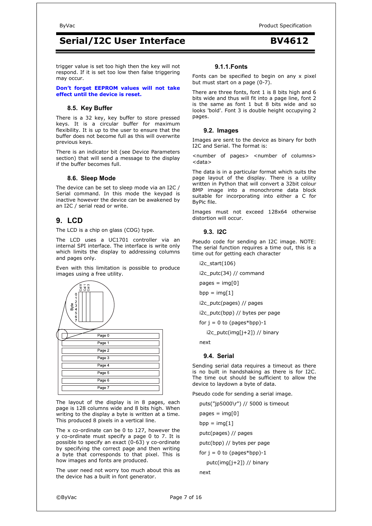trigger value is set too high then the key will not respond. If it is set too low then false triggering may occur.

**Don't forget EEPROM values will not take effect until the device is reset.** 

#### **8.5. Key Buffer**

There is a 32 key, key buffer to store pressed keys. It is a circular buffer for maximum flexibility. It is up to the user to ensure that the buffer does not become full as this will overwrite previous keys.

There is an indicator bit (see Device Parameters section) that will send a message to the display if the buffer becomes full.

#### **8.6. Sleep Mode**

The device can be set to sleep mode via an I2C / Serial command. In this mode the keypad is inactive however the device can be awakened by an I2C / serial read or write.

### **9. LCD**

The LCD is a chip on glass (COG) type.

The LCD uses a UC1701 controller via an internal SPI interface. The interface is write only which limits the display to addressing columns and pages only.

Even with this limitation is possible to produce images using a free utility.



The layout of the display is in 8 pages, each page is 128 columns wide and 8 bits high. When writing to the display a byte is written at a time. This produced 8 pixels in a vertical line.

The x co-ordinate can be 0 to 127, however the y co-ordinate must specify a page 0 to 7. It is possible to specify an exact  $(0-63)$  y co-ordinate by specifying the correct page and then writing a byte that corresponds to that pixel. This is how images and fonts are produced.

The user need not worry too much about this as the device has a built in font generator.

#### **9.1.1. Fonts**

Fonts can be specified to begin on any x pixel but must start on a page (0-7).

There are three fonts, font 1 is 8 bits high and 6 bits wide and thus will fit into a page line, font 2 is the same as font 1 but 8 bits wide and so looks 'bold'. Font 3 is double height occupying 2 pages.

#### **9.2. Images**

Images are sent to the device as binary for both I2C and Serial. The format is:

<number of pages> <number of columns> <data>

The data is in a particular format which suits the page layout of the display. There is a utility written in Python that will convert a 32bit colour BMP image into a monochrome data block suitable for incorporating into either a C for ByPic file.

Images must not exceed 128x64 otherwise distortion will occur.

#### **9.3. I2C**

Pseudo code for sending an I2C image. NOTE: The serial function requires a time out, this is a time out for getting each character

i2c\_start(106)

i2c\_putc(34) // command

 $pages = img[0]$ 

bpp =  $img[1]$ 

i2c\_putc(pages) // pages

i2c\_putc(bpp) // bytes per page

for  $j = 0$  to (pages\*bpp)-1

i2c\_putc(img[j+2]) // binary

next

#### **9.4. Serial**

Sending serial data requires a timeout as there is no built in handshaking as there is for I2C. The time out should be sufficient to allow the device to laydown a byte of data.

Pseudo code for sending a serial image.

puts("jp5000\r") // 5000 is timeout

 $pages = img[0]$ 

 $bpp = img[1]$ 

putc(pages) // pages

putc(bpp) // bytes per page

for  $j = 0$  to (pages\*bpp)-1

putc(img[j+2]) // binary

next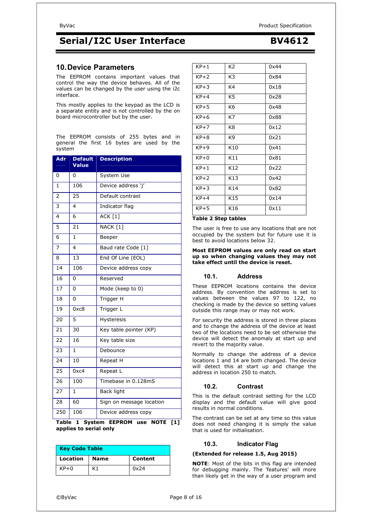### **10. Device Parameters**

The EEPROM contains important values that control the way the device behaves. All of the values can be changed by the user using the i2c interface.

This mostly applies to the keypad as the LCD is a separate entity and is not controlled by the on board microcontroller but by the user.

The EEPROM consists of 255 bytes and in general the first 16 bytes are used by the system

| <b>Adr</b>      | <b>Default</b><br>Value | <b>Description</b>       |
|-----------------|-------------------------|--------------------------|
| 0               | 0                       | System Use               |
| $\mathbf{1}$    | 106                     | Device address 'j'       |
| $\overline{2}$  | 25                      | Default contrast         |
| 3               | $\overline{\mathbf{4}}$ | Indicator flag           |
| $\overline{4}$  | 6                       | <b>ACK</b> [1]           |
| 5               | $\overline{21}$         | NACK [1]                 |
| 6               | $\mathbf{1}$            | Beeper                   |
| 7               | $\overline{\mathbf{4}}$ | Baud rate Code [1]       |
| 8               | 13                      | End Of Line (EOL)        |
| 14              | 106                     | Device address copy      |
| 16              | 0                       | Reserved                 |
| 17              | 0                       | Mode (keep to 0)         |
| 18              | 0                       | Trigger H                |
| 19              | 0xc8                    | Trigger L                |
| 20              | 5                       | Hysteresis               |
| 21              | 30                      | Key table pointer (KP)   |
| 22              | $\overline{16}$         | Key table size           |
| 23              | 1                       | Debounce                 |
| $2\overline{4}$ | 10                      | Repeat H                 |
| 25              | 0xc4                    | Repeat L                 |
| 26              | 100                     | Timebase in 0.128mS      |
| 27              | $\mathbf{1}$            | <b>Back light</b>        |
| 28              | 60                      | Sign on message location |
| 250             | 106                     | Device address copy      |

**Table 1 System EEPROM use NOTE [1] applies to serial only** 

| <b>Key Code Table</b> |             |         |  |  |
|-----------------------|-------------|---------|--|--|
| <b>Location</b>       | <b>Name</b> | Content |  |  |
| $KP+0$                | K1          | 0x24    |  |  |

| $KP+1$ | K <sub>2</sub> | 0x44 |
|--------|----------------|------|
| $KP+2$ | K3             | 0x84 |
| $KP+3$ | K4             | 0x18 |
| $KP+4$ | K <sub>5</sub> | 0x28 |
| $KP+5$ | K6             | 0x48 |
| $KP+6$ | K7             | 0x88 |
| $KP+7$ | K8             | 0x12 |
| $KP+8$ | K9             | 0x21 |
| $KP+9$ | K10            | 0x41 |
| $KP+0$ | K11            | 0x81 |
| $KP+1$ | K12            | 0x22 |
| $KP+2$ | K13            | 0x42 |
| $KP+3$ | K14            | 0x82 |
| $KP+4$ | K15            | 0x14 |

#### **Table 2 Step tables**

The user is free to use any locations that are not occupied by the system but for future use it is best to avoid locations below 32.

#### **Most EEPROM values are only read on start up so when changing values they may not take effect until the device is reset.**

#### **10.1. Address**

KP+5 K16 0x11

These EEPROM locations contains the device address. By convention the address is set to values between the values 97 to 122, no checking is made by the device so setting values outside this range may or may not work.

For security the address is stored in three places and to change the address of the device at least two of the locations need to be set otherwise the device will detect the anomaly at start up and revert to the majority value.

Normally to change the address of a device locations 1 and 14 are both changed. The device will detect this at start up and change the address in location 250 to match.

#### **10.2. Contrast**

This is the default contrast setting for the LCD display and the default value will give good results in normal conditions.

The contrast can be set at any time so this value does not need changing it is simply the value that is used for initialisation.

#### **10.3. Indicator Flag**

#### **(Extended for release 1.5, Aug 2015)**

**NOTE**: Most of the bits in this flag are intended for debugging mainly. The 'features' will more than likely get in the way of a user program and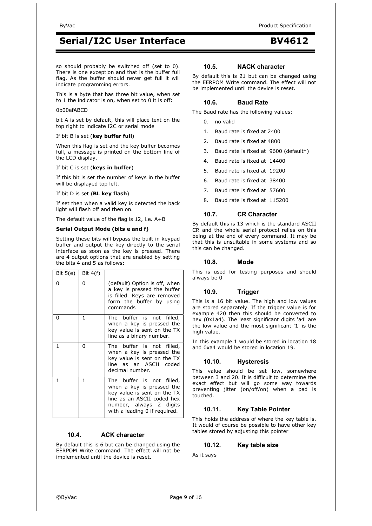so should probably be switched off (set to 0). There is one exception and that is the buffer full flag. As the buffer should never get full it will indicate programming errors.

This is a byte that has three bit value, when set to 1 the indicator is on, when set to 0 it is off:

#### 0b00efABCD

bit A is set by default, this will place text on the top right to indicate I2C or serial mode

#### If bit B is set (**key buffer full**)

When this flag is set and the key buffer becomes full, a message is printed on the bottom line of the LCD display.

#### If bit C is set (**keys in buffer**)

If this bit is set the number of keys in the buffer will be displayed top left.

#### If bit D is set (**BL key flash**)

If set then when a valid key is detected the back light will flash off and then on.

The default value of the flag is 12, i.e. A+B

#### **Serial Output Mode (bits e and f)**

Setting these bits will bypass the built in keypad buffer and output the key directly to the serial interface as soon as the key is pressed. There are 4 output options that are enabled by setting the bits  $4$  and 5 as follows:

| Bit $5(e)$ | Bit $4(f)$ |                                                                                                                                                                                 |
|------------|------------|---------------------------------------------------------------------------------------------------------------------------------------------------------------------------------|
| 0          | 0          | (default) Option is off, when<br>a key is pressed the buffer<br>is filled. Keys are removed<br>form the buffer by using<br>commands                                             |
| 0          | 1          | The buffer is not filled,<br>when a key is pressed the<br>key value is sent on the TX<br>line as a binary number.                                                               |
| 1          | 0          | The buffer is not filled,<br>when a key is pressed the<br>key value is sent on the TX<br>line as an ASCII coded<br>decimal number.                                              |
| 1          | 1          | The buffer is not filled,<br>when a key is pressed the<br>key value is sent on the TX<br>line as an ASCII coded hex<br>number, always 2 digits<br>with a leading 0 if required. |

#### **10.4. ACK character**

By default this is 6 but can be changed using the EERPOM Write command. The effect will not be implemented until the device is reset.

#### **10.5. NACK character**

By default this is 21 but can be changed using the EERPOM Write command. The effect will not be implemented until the device is reset.

#### **10.6. Baud Rate**

The Baud rate has the following values:

- 0. no valid
- 1. Baud rate is fixed at 2400
- 2. Baud rate is fixed at 4800
- 3. Baud rate is fixed at 9600 (default\*)
- 4. Baud rate is fixed at 14400
- 5. Baud rate is fixed at 19200
- 6. Baud rate is fixed at 38400
- 7. Baud rate is fixed at 57600
- 8. Baud rate is fixed at 115200

#### **10.7. CR Character**

By default this is 13 which is the standard ASCII CR and the whole serial protocol relies on this being at the end of every command. It may be that this is unsuitable in some systems and so this can be changed.

#### **10.8. Mode**

This is used for testing purposes and should always be 0

#### **10.9. Trigger**

This is a 16 bit value. The high and low values are stored separately. If the trigger value is for example 420 then this should be converted to hex (0x1a4). The least significant digits 'a4' are the low value and the most significant '1' is the high value.

In this example 1 would be stored in location 18 and 0xa4 would be stored in location 19.

#### **10.10. Hysteresis**

This value should be set low, somewhere between 3 and 20. It is difficult to determine the exact effect but will go some way towards preventing jitter (on/off/on) when  $a$  pad is touched.

#### **10.11. Key Table Pointer**

This holds the address of where the key table is. It would of course be possible to have other key tables stored by adjusting this pointer

#### **10.12. Key table size**

As it says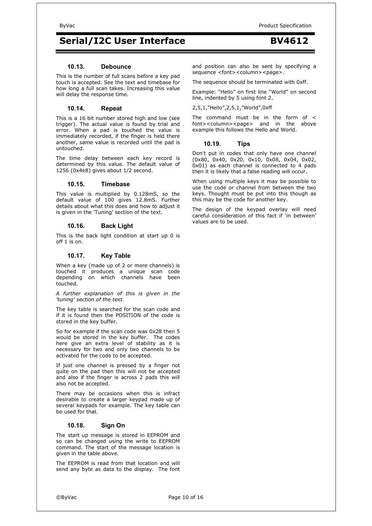#### **10.13. Debounce**

This is the number of full scans before a key pad touch is accepted. See the text and timebase for how long a full scan takes. Increasing this value will delay the response time.

#### **10.14. Repeat**

This is a 16 bit number stored high and low (see trigger). The actual value is found by trial and error. When a pad is touched the value is immediately recorded, if the finger is held there another, same value is recorded until the pad is untouched.

The time delay between each key record is determined by this value. The default value of 1256 (0x4e8) gives about 1/2 second.

#### **10.15. Timebase**

This value is multiplied by 0.128mS, so the default value of 100 gives 12.8mS. Further details about what this does and how to adjust it is given in the 'Tuning' section of the text.

#### **10.16. Back Light**

This is the back light condition at start up 0 is off 1 is on.

#### **10.17. Key Table**

When a key (made up of 2 or more channels) is touched it produces a unique scan code depending on which channels have been touched.

*A further explanation of this is given in the 'tuning' section of the text.* 

The key table is searched for the scan code and if it is found then the POSITION of the code is stored in the key buffer.

So for example if the scan code was 0x28 then 5 would be stored in the key buffer. The codes here give an extra level of stability as it is necessary for two and only two channels to be activated for the code to be accepted.

If just one channel is pressed by a finger not quite on the pad then this will not be accepted and also if the finger is across 2 pads this will also not be accepted.

There may be occasions when this is infract desirable to create a larger keypad made up of several keypads for example. The key table can be used for that.

#### **10.18. Sign On**

The start up message is stored in EEPROM and so can be changed using the write to EEPROM command. The start of the message location is given in the table above.

The EEPROM is read from that location and will send any byte as data to the display. The font and position can also be sent by specifying a sequence <font><column><page>.

The sequence should be terminated with 0xff.

Example: "Hello" on first line "World" on second line, indented by 5 using font 2.

2,5,1,"Hello",2,5,1,"World",0xff

The command must be in the form of < font><column><page> and in the above example this follows the Hello and World.

#### **10.19. Tips**

Don't put in codes that only have one channel (0x80, 0x40, 0x20, 0x10, 0x08, 0x04, 0x02, 0x01) as each channel is connected to 4 pads then it is likely that a false reading will occur.

When using multiple keys it may be possible to use the code or channel from between the two keys. Thought must be put into this though as this may be the code for another key.

The design of the keypad overlay will need careful consideration of this fact if 'in between' values are to be used.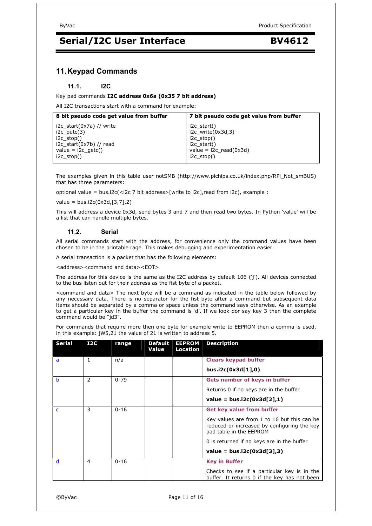### **11. Keypad Commands**

#### **11.1. I2C**

Key pad commands **I2C address 0x6a (0x35 7 bit address)** 

All I2C transactions start with a command for example:

| 8 bit pseudo code get value from buffer | 7 bit pseudo code get value from buffer |
|-----------------------------------------|-----------------------------------------|
| i2c start( $0x7a$ ) // write            | i2c start()                             |
| $i2c$ putc $(3)$                        | $i2c$ write $(0x3d,3)$                  |
| $i2c$ stop()                            | $i2c$ stop()                            |
| $i2c$ start(0x7b) // read               | $i2c$ start()                           |
| value = $i2c$ getc()                    | value = $i2c$ read( $0x3d$ )            |
| $i2c$ stop()                            | $i2c$ stop()                            |

The examples given in this table user notSMB (http://www.pichips.co.uk/index.php/RPi\_Not\_smBUS) that has three parameters:

optional value = bus.i2c(<i2c 7 bit address>[write to i2c],read from i2c), example :

 $value = bus.i2c(0x3d,[3,7],2)$ 

This will address a device 0x3d, send bytes 3 and 7 and then read two bytes. In Python 'value' will be a list that can handle multiple bytes.

#### **11.2. Serial**

All serial commands start with the address, for convenience only the command values have been chosen to be in the printable rage. This makes debugging and experimentation easier.

A serial transaction is a packet that has the following elements:

<address><command and data><EOT>

The address for this device is the same as the I2C address by default 106 ('j'). All devices connected to the bus listen out for their address as the fist byte of a packet.

<command and data> The next byte will be a command as indicated in the table below followed by any necessary data. There is no separator for the fist byte after a command but subsequent data items should be separated by a comma or space unless the command says otherwise. As an example to get a particular key in the buffer the command is 'd'. If we look dor say key 3 then the complete command would be "jd3".

For commands that require more then one byte for example write to EEPROM then a comma is used, in this example: jW5,21 the value of 21 is written to address 5.

| <b>Serial</b> | 12C           | range    | <b>Default</b><br>Value | <b>EEPROM</b><br>Location | <b>Description</b>                                                                                                    |
|---------------|---------------|----------|-------------------------|---------------------------|-----------------------------------------------------------------------------------------------------------------------|
| a             | 1             | n/a      |                         |                           | <b>Clears keypad buffer</b>                                                                                           |
|               |               |          |                         |                           | bus.i2c(0x3d[1],0)                                                                                                    |
| h             | $\mathcal{P}$ | $0 - 79$ |                         |                           | Gets number of keys in buffer                                                                                         |
|               |               |          |                         |                           | Returns 0 if no keys are in the buffer                                                                                |
|               |               |          |                         |                           | $value = bus.i2c(0x3d[2],1)$                                                                                          |
| C             | 3             | $0 - 16$ |                         |                           | <b>Get key value from buffer</b>                                                                                      |
|               |               |          |                         |                           | Key values are from 1 to 16 but this can be<br>reduced or increased by configuring the key<br>pad table in the EEPROM |
|               |               |          |                         |                           | 0 is returned if no keys are in the buffer                                                                            |
|               |               |          |                         |                           | value = $bus.i2c(0x3d[3],3)$                                                                                          |
| d             | 4             | $0 - 16$ |                         |                           | <b>Key in Buffer</b>                                                                                                  |
|               |               |          |                         |                           | Checks to see if a particular key is in the<br>buffer. It returns 0 if the key has not been                           |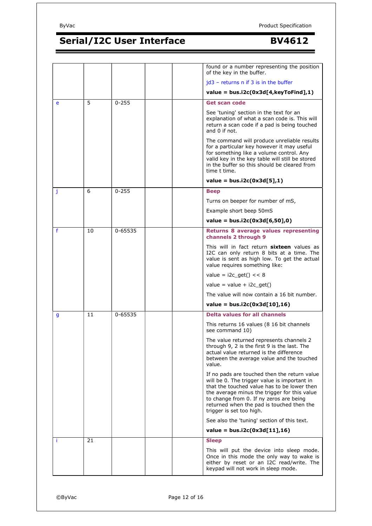|             |    |           |  | found or a number representing the position<br>of the key in the buffer.                                                                                                                                                                                                                                        |
|-------------|----|-----------|--|-----------------------------------------------------------------------------------------------------------------------------------------------------------------------------------------------------------------------------------------------------------------------------------------------------------------|
|             |    |           |  | $id3$ – returns n if 3 is in the buffer                                                                                                                                                                                                                                                                         |
|             |    |           |  | value = $bus.i2c(0x3d[4,keyToFind],1)$                                                                                                                                                                                                                                                                          |
| e           | 5  | $0 - 255$ |  | Get scan code                                                                                                                                                                                                                                                                                                   |
|             |    |           |  | See 'tuning' section in the text for an<br>explanation of what a scan code is. This will<br>return a scan code if a pad is being touched<br>and 0 if not.                                                                                                                                                       |
|             |    |           |  | The command will produce unreliable results<br>for a particular key however it may useful<br>for something like a volume control. Any<br>valid key in the key table will still be stored<br>in the buffer so this should be cleared from<br>time t time.                                                        |
|             |    |           |  | value = $bus.i2c(0x3d[5],1)$                                                                                                                                                                                                                                                                                    |
| j           | 6  | $0 - 255$ |  | <b>Beep</b>                                                                                                                                                                                                                                                                                                     |
|             |    |           |  | Turns on beeper for number of mS,                                                                                                                                                                                                                                                                               |
|             |    |           |  | Example short beep 50mS                                                                                                                                                                                                                                                                                         |
|             |    |           |  | value = $bus.i2c(0x3d[6,50],0)$                                                                                                                                                                                                                                                                                 |
| $\mathbf f$ | 10 | 0-65535   |  | Returns 8 average values representing<br>channels 2 through 9                                                                                                                                                                                                                                                   |
|             |    |           |  | This will in fact return sixteen values as<br>I2C can only return 8 bits at a time. The<br>value is sent as high low. To get the actual<br>value requires something like:                                                                                                                                       |
|             |    |           |  | value = $i2c\_get() << 8$                                                                                                                                                                                                                                                                                       |
|             |    |           |  | value = value + $i2c_g$ et()                                                                                                                                                                                                                                                                                    |
|             |    |           |  | The value will now contain a 16 bit number.                                                                                                                                                                                                                                                                     |
|             |    |           |  | $value = bus.i2c(0x3d[10],16)$                                                                                                                                                                                                                                                                                  |
| g           | 11 | 0-65535   |  | <b>Delta values for all channels</b>                                                                                                                                                                                                                                                                            |
|             |    |           |  | This returns 16 values (8 16 bit channels<br>see command 10)                                                                                                                                                                                                                                                    |
|             |    |           |  | The value returned represents channels 2<br>through 9, 2 is the first 9 is the last. The<br>actual value returned is the difference<br>between the average value and the touched<br>value.                                                                                                                      |
|             |    |           |  | If no pads are touched then the return value<br>will be 0. The trigger value is important in<br>that the touched value has to be lower then<br>the average minus the trigger for this value<br>to change from 0. If ny zeros are being<br>returned when the pad is touched then the<br>trigger is set too high. |
|             |    |           |  | See also the 'tuning' section of this text.                                                                                                                                                                                                                                                                     |
|             |    |           |  | $value = bus.i2c(0x3d[11],16)$                                                                                                                                                                                                                                                                                  |
| ÷           | 21 |           |  | <b>Sleep</b>                                                                                                                                                                                                                                                                                                    |
|             |    |           |  | This will put the device into sleep mode.<br>Once in this mode the only way to wake is<br>either by reset or an I2C read/write. The<br>keypad will not work in sleep mode.                                                                                                                                      |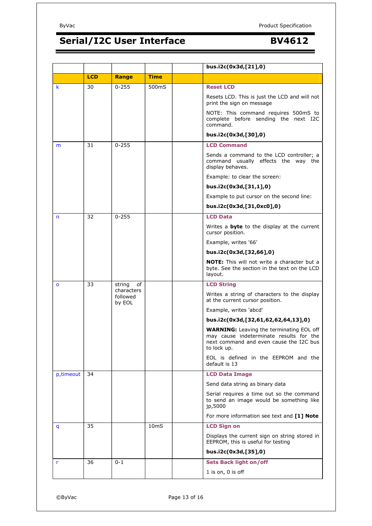|              |            |                                  |                  | bus.i2c(0x3d,[21],0)                                                                                                                                 |
|--------------|------------|----------------------------------|------------------|------------------------------------------------------------------------------------------------------------------------------------------------------|
|              | <b>LCD</b> | Range                            | <b>Time</b>      |                                                                                                                                                      |
| k            | 30         | $0 - 255$                        | 500mS            | <b>Reset LCD</b>                                                                                                                                     |
|              |            |                                  |                  | Resets LCD. This is just the LCD and will not<br>print the sign on message                                                                           |
|              |            |                                  |                  | NOTE: This command requires 500mS to<br>complete before sending the next I2C<br>command.                                                             |
|              |            |                                  |                  | bus.i2c(0x3d,[30],0)                                                                                                                                 |
| m            | 31         | $0 - 255$                        |                  | <b>LCD Command</b>                                                                                                                                   |
|              |            |                                  |                  | Sends a command to the LCD controller; a<br>command usually effects the way the<br>display behaves.                                                  |
|              |            |                                  |                  | Example: to clear the screen:                                                                                                                        |
|              |            |                                  |                  | bus.i2c(0x3d,[31,1],0)                                                                                                                               |
|              |            |                                  |                  | Example to put cursor on the second line:                                                                                                            |
|              |            |                                  |                  | bus.i2c(0x3d,[31,0xc0],0)                                                                                                                            |
| n            | 32         | $0 - 255$                        |                  | <b>LCD Data</b>                                                                                                                                      |
|              |            |                                  |                  | Writes a <b>byte</b> to the display at the current<br>cursor position.                                                                               |
|              |            |                                  |                  | Example, writes '66'                                                                                                                                 |
|              |            |                                  |                  | bus.i2c(0x3d,[32,66],0)                                                                                                                              |
|              |            |                                  |                  | <b>NOTE:</b> This will not write a character but a<br>byte. See the section in the text on the LCD<br>layout.                                        |
| $\mathbf{o}$ | 33         | string<br>of                     |                  | <b>LCD String</b>                                                                                                                                    |
|              |            | characters<br>followed<br>by EOL |                  | Writes a string of characters to the display<br>at the current cursor position.                                                                      |
|              |            |                                  |                  | Example, writes 'abcd'                                                                                                                               |
|              |            |                                  |                  | bus.i2c(0x3d,[32,61,62,62,64,13],0)                                                                                                                  |
|              |            |                                  |                  | <b>WARNING:</b> Leaving the terminating EOL off<br>may cause indeterminate results for the<br>next command and even cause the I2C bus<br>to lock up. |
|              |            |                                  |                  | EOL is defined in the EEPROM and the<br>default is 13                                                                                                |
| p, timeout   | 34         |                                  |                  | <b>LCD Data Image</b>                                                                                                                                |
|              |            |                                  |                  | Send data string as binary data                                                                                                                      |
|              |            |                                  |                  | Serial requires a time out so the command<br>to send an image would be something like<br>jp,5000                                                     |
|              |            |                                  |                  | For more information see text and [1] Note                                                                                                           |
| q            | 35         |                                  | 10 <sub>ms</sub> | <b>LCD Sign on</b>                                                                                                                                   |
|              |            |                                  |                  | Displays the current sign on string stored in<br>EEPROM, this is useful for testing                                                                  |
|              |            |                                  |                  | bus.i2c(0x3d,[35],0)                                                                                                                                 |
| r            | 36         | $0 - 1$                          |                  | <b>Sets Back light on/off</b>                                                                                                                        |
|              |            |                                  |                  | $1$ is on, $0$ is off                                                                                                                                |
|              |            |                                  |                  |                                                                                                                                                      |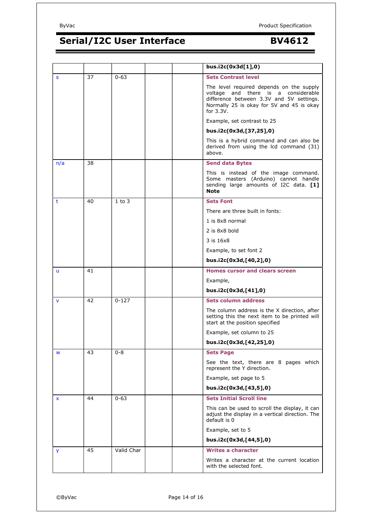

|     |    |            |  | bus.i2c(0x3d[1],0)                                                                                                                                                                       |
|-----|----|------------|--|------------------------------------------------------------------------------------------------------------------------------------------------------------------------------------------|
| S   | 37 | $0 - 63$   |  | <b>Sets Contrast level</b>                                                                                                                                                               |
|     |    |            |  | The level required depends on the supply<br>voltage and there is a considerable<br>difference between 3.3V and 5V settings.<br>Normally 25 is okay for 5V and 45 is okay<br>for $3.3V$ . |
|     |    |            |  | Example, set contrast to 25                                                                                                                                                              |
|     |    |            |  | bus.i2c(0x3d,[37,25],0)                                                                                                                                                                  |
|     |    |            |  | This is a hybrid command and can also be<br>derived from using the lcd command (31)<br>above.                                                                                            |
| n/a | 38 |            |  | <b>Send data Bytes</b>                                                                                                                                                                   |
|     |    |            |  | This is instead of the image command.<br>Some masters (Arduino) cannot handle<br>sending large amounts of I2C data. [1]<br><b>Note</b>                                                   |
| t   | 40 | $1$ to $3$ |  | <b>Sets Font</b>                                                                                                                                                                         |
|     |    |            |  | There are three built in fonts:                                                                                                                                                          |
|     |    |            |  | 1 is 8x8 normal                                                                                                                                                                          |
|     |    |            |  | 2 is 8x8 bold                                                                                                                                                                            |
|     |    |            |  | 3 is 16x8                                                                                                                                                                                |
|     |    |            |  | Example, to set font 2                                                                                                                                                                   |
|     |    |            |  | bus.i2c(0x3d,[40,2],0)                                                                                                                                                                   |
| u   | 41 |            |  | <b>Homes cursor and clears screen</b>                                                                                                                                                    |
|     |    |            |  | Example,                                                                                                                                                                                 |
|     |    |            |  | bus.i2c(0x3d,[41],0)                                                                                                                                                                     |
| V   | 42 | $0 - 127$  |  | <b>Sets column address</b>                                                                                                                                                               |
|     |    |            |  | The column address is the X direction, after<br>setting this the next item to be printed will<br>start at the position specified                                                         |
|     |    |            |  | Example, set column to 25                                                                                                                                                                |
|     |    |            |  | bus.i2c(0x3d,[42,25],0)                                                                                                                                                                  |
| W   | 43 | $0 - 8$    |  | <b>Sets Page</b>                                                                                                                                                                         |
|     |    |            |  | See the text, there are 8 pages which<br>represent the Y direction.                                                                                                                      |
|     |    |            |  | Example, set page to 5                                                                                                                                                                   |
|     |    |            |  | bus.i2c(0x3d,[43,5],0)                                                                                                                                                                   |
| X   | 44 | $0 - 63$   |  | <b>Sets Initial Scroll line</b>                                                                                                                                                          |
|     |    |            |  | This can be used to scroll the display, it can<br>adjust the display in a vertical direction. The<br>default is 0                                                                        |
|     |    |            |  | Example, set to 5                                                                                                                                                                        |
|     |    |            |  | bus.i2c(0x3d,[44,5],0)                                                                                                                                                                   |
| y   | 45 | Valid Char |  | <b>Writes a character</b>                                                                                                                                                                |
|     |    |            |  | Writes a character at the current location<br>with the selected font.                                                                                                                    |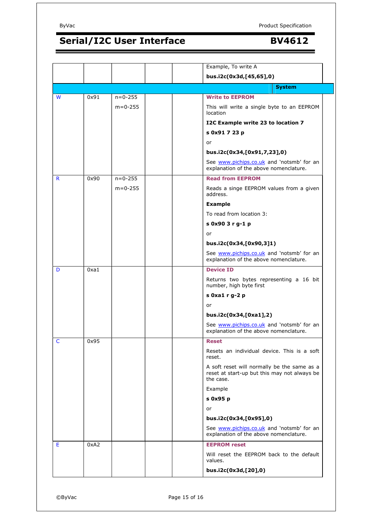|                     |               | Example, To write A                                                                                      |
|---------------------|---------------|----------------------------------------------------------------------------------------------------------|
|                     |               | bus.i2c(0x3d,[45,65],0)                                                                                  |
|                     |               | <b>System</b>                                                                                            |
| W<br>0x91           | $n = 0 - 255$ | <b>Write to EEPROM</b>                                                                                   |
|                     | $m = 0 - 255$ | This will write a single byte to an EEPROM<br>location                                                   |
|                     |               | I2C Example write 23 to location 7                                                                       |
|                     |               | s 0x91 7 23 p                                                                                            |
|                     |               | or                                                                                                       |
|                     |               | bus.i2c(0x34,[0x91,7,23],0)                                                                              |
|                     |               | See www.pichips.co.uk and 'notsmb' for an<br>explanation of the above nomenclature.                      |
| R<br>0x90           | $n = 0 - 255$ | <b>Read from EEPROM</b>                                                                                  |
|                     | $m = 0 - 255$ | Reads a singe EEPROM values from a given<br>address.                                                     |
|                     |               | <b>Example</b>                                                                                           |
|                     |               | To read from location 3:                                                                                 |
|                     |               | s 0x90 3 r g-1 p                                                                                         |
|                     |               | or                                                                                                       |
|                     |               | bus.i2c(0x34,[0x90,3]1)                                                                                  |
|                     |               | See www.pichips.co.uk and 'notsmb' for an<br>explanation of the above nomenclature.                      |
| 0xa1<br>D           |               | <b>Device ID</b>                                                                                         |
|                     |               | Returns two bytes representing a 16 bit<br>number, high byte first                                       |
|                     |               | s 0xa1 r g-2 p                                                                                           |
|                     |               | or                                                                                                       |
|                     |               | bus.i2c(0x34,[0xa1],2)                                                                                   |
|                     |               | See www.pichips.co.uk and 'notsmb' for an<br>explanation of the above nomenclature.                      |
| 0x95<br>$\mathsf C$ |               | <b>Reset</b>                                                                                             |
|                     |               | Resets an individual device. This is a soft<br>reset.                                                    |
|                     |               | A soft reset will normally be the same as a<br>reset at start-up but this may not always be<br>the case. |
|                     |               | Example                                                                                                  |
|                     |               | s 0x95 p                                                                                                 |
|                     |               | or                                                                                                       |
|                     |               | bus.i2c(0x34,[0x95],0)                                                                                   |
|                     |               | See www.pichips.co.uk and 'notsmb' for an<br>explanation of the above nomenclature.                      |
| Е<br>0xA2           |               | <b>EEPROM</b> reset                                                                                      |
|                     |               | Will reset the EEPROM back to the default                                                                |
|                     |               | values.                                                                                                  |